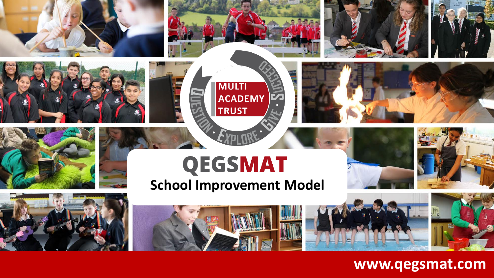





## **QEGSMAT**

**MULTI** 

**TRUST** 

ACADEMY

**School Improvement Model**

#### **www.qegsmat.com**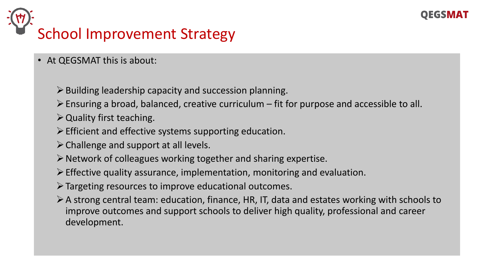

# School Improvement Strategy

- At QEGSMAT this is about:
	- $\triangleright$  Building leadership capacity and succession planning.
	- $\triangleright$  Ensuring a broad, balanced, creative curriculum fit for purpose and accessible to all.
	- $\triangleright$  Quality first teaching.
	- $\triangleright$  Efficient and effective systems supporting education.
	- $\triangleright$  Challenge and support at all levels.
	- $\triangleright$  Network of colleagues working together and sharing expertise.
	- $\triangleright$  Effective quality assurance, implementation, monitoring and evaluation.
	- ➢Targeting resources to improve educational outcomes.
	- ➢A strong central team: education, finance, HR, IT, data and estates working with schools to improve outcomes and support schools to deliver high quality, professional and career development.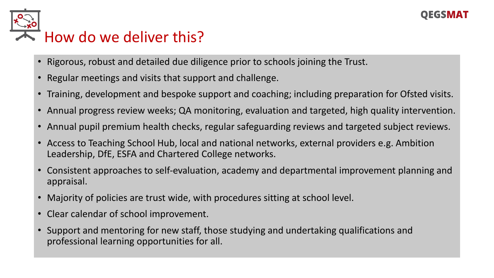# How do we deliver this?

- Rigorous, robust and detailed due diligence prior to schools joining the Trust.
- Regular meetings and visits that support and challenge.
- Training, development and bespoke support and coaching; including preparation for Ofsted visits.
- Annual progress review weeks; QA monitoring, evaluation and targeted, high quality intervention.
- Annual pupil premium health checks, regular safeguarding reviews and targeted subject reviews.
- Access to Teaching School Hub, local and national networks, external providers e.g. Ambition Leadership, DfE, ESFA and Chartered College networks.
- Consistent approaches to self-evaluation, academy and departmental improvement planning and appraisal.
- Majority of policies are trust wide, with procedures sitting at school level.
- Clear calendar of school improvement.
- Support and mentoring for new staff, those studying and undertaking qualifications and professional learning opportunities for all.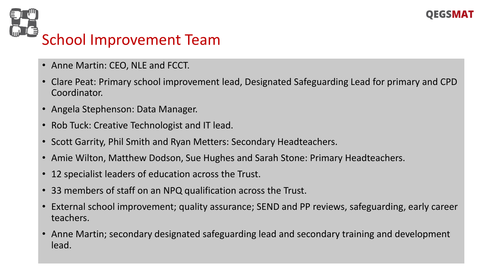



- Anne Martin: CEO, NLE and FCCT.
- Clare Peat: Primary school improvement lead, Designated Safeguarding Lead for primary and CPD Coordinator.
- Angela Stephenson: Data Manager.
- Rob Tuck: Creative Technologist and IT lead.
- Scott Garrity, Phil Smith and Ryan Metters: Secondary Headteachers.
- Amie Wilton, Matthew Dodson, Sue Hughes and Sarah Stone: Primary Headteachers.
- 12 specialist leaders of education across the Trust.
- 33 members of staff on an NPQ qualification across the Trust.
- External school improvement; quality assurance; SEND and PP reviews, safeguarding, early career teachers.
- Anne Martin; secondary designated safeguarding lead and secondary training and development lead.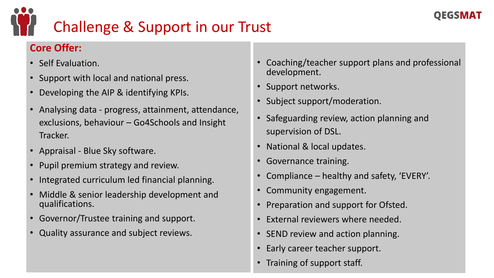

## Challenge & Support in our Trust

#### **Core Offer:**

- Self Evaluation.
- Support with local and national press.
- Developing the AIP & identifying KPIs.
- Analysing data progress, attainment, attendance, exclusions, behaviour – Go4Schools and Insight Tracker.
- Appraisal Blue Sky software.
- Pupil premium strategy and review.
- Integrated curriculum led financial planning.
- Middle & senior leadership development and qualifications.
- Governor/Trustee training and support.
- Quality assurance and subject reviews.
- Coaching/teacher support plans and professional development.
- Support networks.
- Subject support/moderation.
- Safeguarding review, action planning and supervision of DSL.
- National & local updates.
- Governance training.
- Compliance healthy and safety, 'EVERY'.
- Community engagement.
- Preparation and support for Ofsted.
- External reviewers where needed.
- SEND review and action planning.
- Early career teacher support.
- Training of support staff.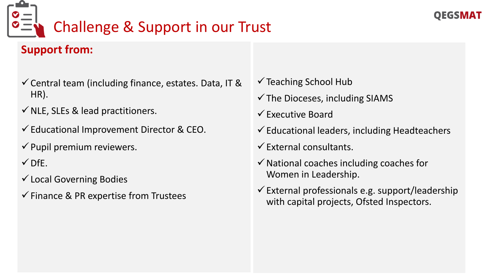

## Challenge & Support in our Trust

#### **Support from:**

- $\checkmark$  Central team (including finance, estates. Data, IT & HR).
- $\checkmark$  NLE, SLEs & lead practitioners.
- ✓Educational Improvement Director & CEO.
- $\checkmark$  Pupil premium reviewers.
- $\checkmark$  DfE.
- ✓Local Governing Bodies
- $\checkmark$  Finance & PR expertise from Trustees
- $\checkmark$  Teaching School Hub
- $\checkmark$  The Dioceses, including SIAMS
- $\checkmark$  Executive Board
- $\checkmark$  Educational leaders, including Headteachers
- $\checkmark$  External consultants.
- $\checkmark$  National coaches including coaches for Women in Leadership.
- $\checkmark$  External professionals e.g. support/leadership with capital projects, Ofsted Inspectors.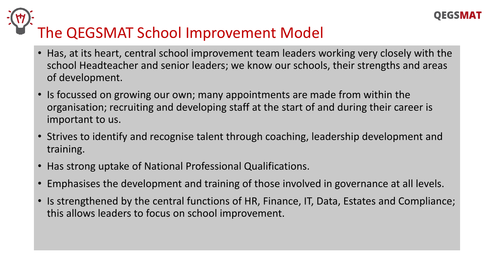

# The QEGSMAT School Improvement Model

- Has, at its heart, central school improvement team leaders working very closely with the school Headteacher and senior leaders; we know our schools, their strengths and areas of development.
- Is focussed on growing our own; many appointments are made from within the organisation; recruiting and developing staff at the start of and during their career is important to us.
- Strives to identify and recognise talent through coaching, leadership development and training.
- Has strong uptake of National Professional Qualifications.
- Emphasises the development and training of those involved in governance at all levels.
- Is strengthened by the central functions of HR, Finance, IT, Data, Estates and Compliance; this allows leaders to focus on school improvement.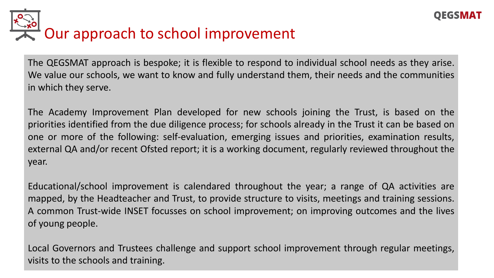

The QEGSMAT approach is bespoke; it is flexible to respond to individual school needs as they arise. We value our schools, we want to know and fully understand them, their needs and the communities in which they serve.

The Academy Improvement Plan developed for new schools joining the Trust, is based on the priorities identified from the due diligence process; for schools already in the Trust it can be based on one or more of the following: self-evaluation, emerging issues and priorities, examination results, external QA and/or recent Ofsted report; it is a working document, regularly reviewed throughout the year.

Educational/school improvement is calendared throughout the year; a range of QA activities are mapped, by the Headteacher and Trust, to provide structure to visits, meetings and training sessions. A common Trust-wide INSET focusses on school improvement; on improving outcomes and the lives of young people.

Local Governors and Trustees challenge and support school improvement through regular meetings, visits to the schools and training.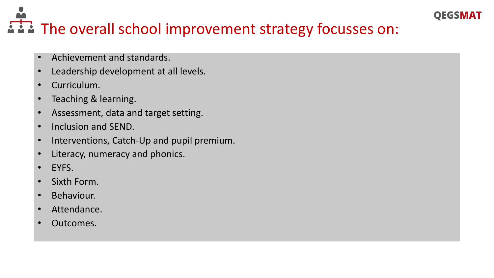#### **QEGSMAT**

### i i i The overall school improvement strategy focusses on:

- Achievement and standards.
- Leadership development at all levels.
- Curriculum.
- Teaching & learning.
- Assessment, data and target setting.
- Inclusion and SEND.
- Interventions, Catch-Up and pupil premium.
- Literacy, numeracy and phonics.
- EYFS.
- Sixth Form.
- Behaviour.
- Attendance.
- Outcomes.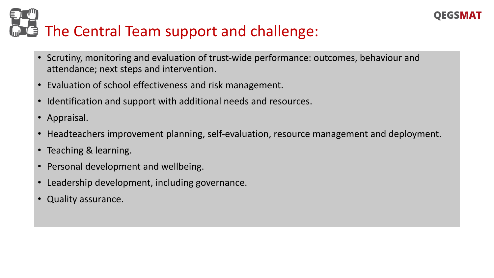#### **OEGSMAT**

# **E** The Central Team support and challenge:

- Scrutiny, monitoring and evaluation of trust-wide performance: outcomes, behaviour and attendance; next steps and intervention.
- Evaluation of school effectiveness and risk management.
- Identification and support with additional needs and resources.
- Appraisal.
- Headteachers improvement planning, self-evaluation, resource management and deployment.
- Teaching & learning.
- Personal development and wellbeing.
- Leadership development, including governance.
- Quality assurance.